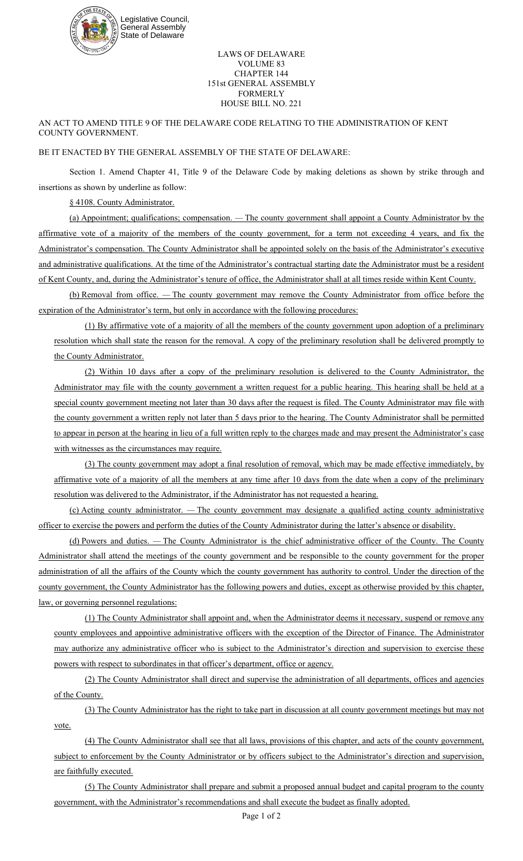

## LAWS OF DELAWARE VOLUME 83 CHAPTER 144 151st GENERAL ASSEMBLY FORMERLY HOUSE BILL NO. 221

AN ACT TO AMEND TITLE 9 OF THE DELAWARE CODE RELATING TO THE ADMINISTRATION OF KENT COUNTY GOVERNMENT.

## BE IT ENACTED BY THE GENERAL ASSEMBLY OF THE STATE OF DELAWARE:

Section 1. Amend Chapter 41, Title 9 of the Delaware Code by making deletions as shown by strike through and insertions as shown by underline as follow:

§ 4108. County Administrator.

(a) Appointment; qualifications; compensation. *—* The county government shall appoint a County Administrator by the affirmative vote of a majority of the members of the county government, for a term not exceeding 4 years, and fix the Administrator's compensation. The County Administrator shall be appointed solely on the basis of the Administrator's executive and administrative qualifications. At the time of the Administrator's contractual starting date the Administrator must be a resident of Kent County, and, during the Administrator's tenure of office, the Administrator shall at all times reside within Kent County.

(b) Removal from office. *—* The county government may remove the County Administrator from office before the expiration of the Administrator's term, but only in accordance with the following procedures:

(1) By affirmative vote of a majority of all the members of the county government upon adoption of a preliminary resolution which shall state the reason for the removal. A copy of the preliminary resolution shall be delivered promptly to the County Administrator.

(2) Within 10 days after a copy of the preliminary resolution is delivered to the County Administrator, the Administrator may file with the county government a written request for a public hearing. This hearing shall be held at a special county government meeting not later than 30 days after the request is filed. The County Administrator may file with the county government a written reply not later than 5 days prior to the hearing. The County Administrator shall be permitted to appear in person at the hearing in lieu of a full written reply to the charges made and may present the Administrator's case with witnesses as the circumstances may require.

(3) The county government may adopt a final resolution of removal, which may be made effective immediately, by affirmative vote of a majority of all the members at any time after 10 days from the date when a copy of the preliminary resolution was delivered to the Administrator, if the Administrator has not requested a hearing.

(c) Acting county administrator. *—* The county government may designate a qualified acting county administrative officer to exercise the powers and perform the duties of the County Administrator during the latter's absence or disability.

(d) Powers and duties. *—* The County Administrator is the chief administrative officer of the County. The County Administrator shall attend the meetings of the county government and be responsible to the county government for the proper administration of all the affairs of the County which the county government has authority to control. Under the direction of the county government, the County Administrator has the following powers and duties, except as otherwise provided by this chapter, law, or governing personnel regulations:

(1) The County Administrator shall appoint and, when the Administrator deems it necessary, suspend or remove any county employees and appointive administrative officers with the exception of the Director of Finance. The Administrator may authorize any administrative officer who is subject to the Administrator's direction and supervision to exercise these powers with respect to subordinates in that officer's department, office or agency.

(2) The County Administrator shall direct and supervise the administration of all departments, offices and agencies of the County.

(3) The County Administrator has the right to take part in discussion at all county government meetings but may not vote.

(4) The County Administrator shall see that all laws, provisions of this chapter, and acts of the county government, subject to enforcement by the County Administrator or by officers subject to the Administrator's direction and supervision, are faithfully executed.

(5) The County Administrator shall prepare and submit a proposed annual budget and capital program to the county government, with the Administrator's recommendations and shall execute the budget as finally adopted.